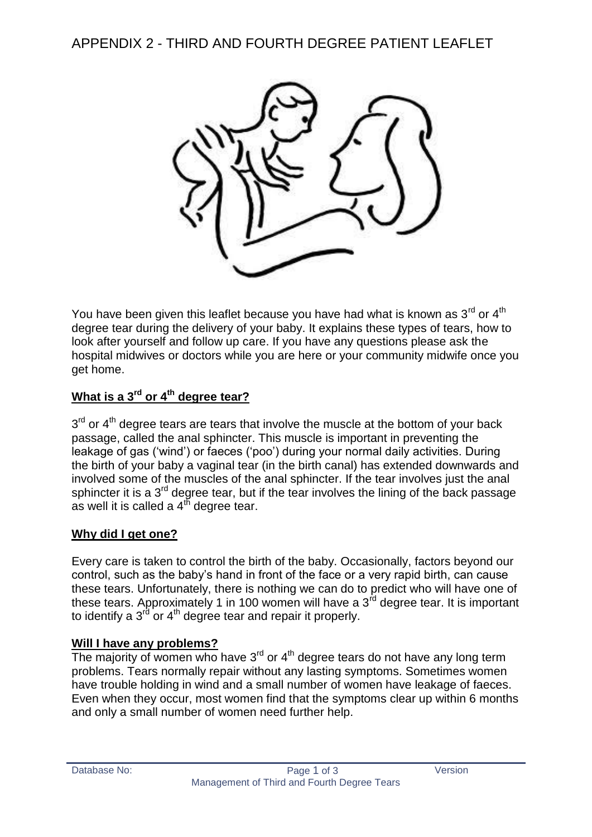APPENDIX 2 - THIRD AND FOURTH DEGREE PATIENT LEAFLET



You have been given this leaflet because you have had what is known as  $3<sup>rd</sup>$  or  $4<sup>th</sup>$ degree tear during the delivery of your baby. It explains these types of tears, how to look after yourself and follow up care. If you have any questions please ask the hospital midwives or doctors while you are here or your community midwife once you get home.

# **What is a 3rd or 4th degree tear?**

 $3<sup>rd</sup>$  or  $4<sup>th</sup>$  degree tears are tears that involve the muscle at the bottom of your back passage, called the anal sphincter. This muscle is important in preventing the leakage of gas ('wind') or faeces ('poo') during your normal daily activities. During the birth of your baby a vaginal tear (in the birth canal) has extended downwards and involved some of the muscles of the anal sphincter. If the tear involves just the anal sphincter it is a  $3<sup>rd</sup>$  degree tear, but if the tear involves the lining of the back passage as well it is called a  $4^{\text{th}}$  degree tear.

## **Why did I get one?**

Every care is taken to control the birth of the baby. Occasionally, factors beyond our control, such as the baby's hand in front of the face or a very rapid birth, can cause these tears. Unfortunately, there is nothing we can do to predict who will have one of these tears. Approximately 1 in 100 women will have a  $3<sup>rd</sup>$  degree tear. It is important to identify a  $3<sup>rd</sup>$  or  $4<sup>th</sup>$  degree tear and repair it properly.

#### **Will I have any problems?**

The majority of women who have  $3<sup>rd</sup>$  or  $4<sup>th</sup>$  degree tears do not have any long term problems. Tears normally repair without any lasting symptoms. Sometimes women have trouble holding in wind and a small number of women have leakage of faeces. Even when they occur, most women find that the symptoms clear up within 6 months and only a small number of women need further help.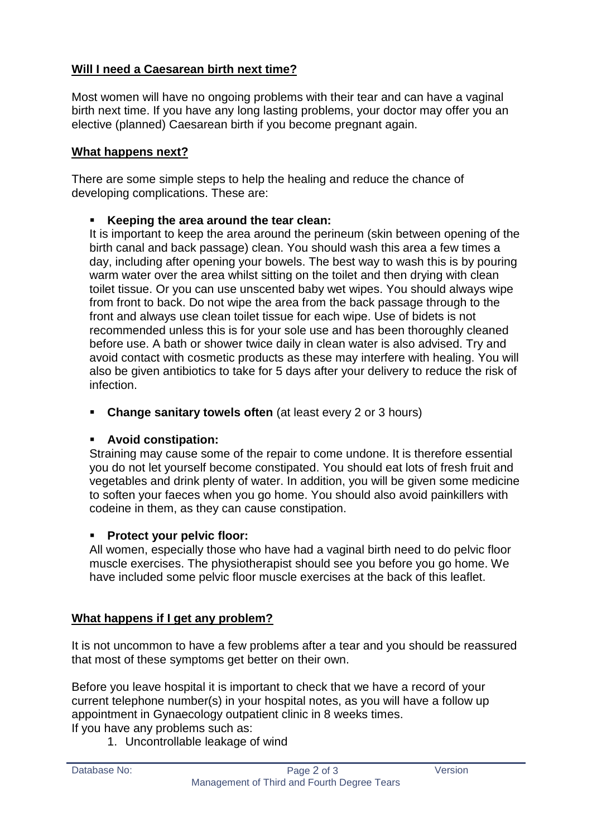# **Will I need a Caesarean birth next time?**

Most women will have no ongoing problems with their tear and can have a vaginal birth next time. If you have any long lasting problems, your doctor may offer you an elective (planned) Caesarean birth if you become pregnant again.

## **What happens next?**

There are some simple steps to help the healing and reduce the chance of developing complications. These are:

## **Keeping the area around the tear clean:**

It is important to keep the area around the perineum (skin between opening of the birth canal and back passage) clean. You should wash this area a few times a day, including after opening your bowels. The best way to wash this is by pouring warm water over the area whilst sitting on the toilet and then drying with clean toilet tissue. Or you can use unscented baby wet wipes. You should always wipe from front to back. Do not wipe the area from the back passage through to the front and always use clean toilet tissue for each wipe. Use of bidets is not recommended unless this is for your sole use and has been thoroughly cleaned before use. A bath or shower twice daily in clean water is also advised. Try and avoid contact with cosmetic products as these may interfere with healing. You will also be given antibiotics to take for 5 days after your delivery to reduce the risk of infection.

**Change sanitary towels often** (at least every 2 or 3 hours)

## **Avoid constipation:**

Straining may cause some of the repair to come undone. It is therefore essential you do not let yourself become constipated. You should eat lots of fresh fruit and vegetables and drink plenty of water. In addition, you will be given some medicine to soften your faeces when you go home. You should also avoid painkillers with codeine in them, as they can cause constipation.

## **Protect your pelvic floor:**

All women, especially those who have had a vaginal birth need to do pelvic floor muscle exercises. The physiotherapist should see you before you go home. We have included some pelvic floor muscle exercises at the back of this leaflet.

## **What happens if I get any problem?**

It is not uncommon to have a few problems after a tear and you should be reassured that most of these symptoms get better on their own.

Before you leave hospital it is important to check that we have a record of your current telephone number(s) in your hospital notes, as you will have a follow up appointment in Gynaecology outpatient clinic in 8 weeks times.

If you have any problems such as:

1. Uncontrollable leakage of wind

| Database No: |  |
|--------------|--|
|              |  |